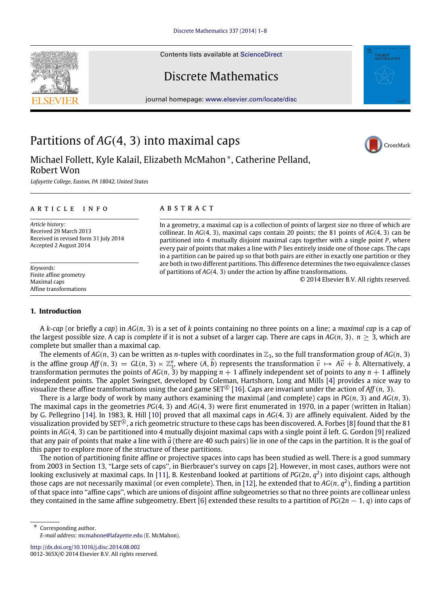Contents lists available at [ScienceDirect](http://www.elsevier.com/locate/disc)

# Discrete Mathematics

journal homepage: [www.elsevier.com/locate/disc](http://www.elsevier.com/locate/disc)

# Partitions of *AG*(4, 3) into maximal caps

Michael Follett, Kyle Kalail, Elizabeth McMahon[∗](#page-0-0) , Catherine Pelland, Robert Won

*Lafayette College, Easton, PA 18042, United States*

## a r t i c l e i n f o

*Article history:* Received 29 March 2013 Received in revised form 31 July 2014 Accepted 2 August 2014

*Keywords:* Finite affine geometry Maximal caps Affine transformations

# a b s t r a c t

In a geometry, a maximal cap is a collection of points of largest size no three of which are collinear. In *AG*(4, 3), maximal caps contain 20 points; the 81 points of *AG*(4, 3) can be partitioned into 4 mutually disjoint maximal caps together with a single point *P*, where every pair of points that makes a line with *P* lies entirely inside one of those caps. The caps in a partition can be paired up so that both pairs are either in exactly one partition or they are both in two different partitions. This difference determines the two equivalence classes of partitions of *AG*(4, 3) under the action by affine transformations.

© 2014 Elsevier B.V. All rights reserved.

# **1. Introduction**

A *k*-*cap* (or briefly a *cap*) in *AG*(*n*, 3) is a set of *k* points containing no three points on a line; a *maximal cap* is a cap of the largest possible size. A cap is *complete* if it is not a subset of a larger cap. There are caps in  $AG(n, 3)$ ,  $n > 3$ , which are complete but smaller than a maximal cap.

The elements of  $AG(n, 3)$  can be written as *n*-tuples with coordinates in  $\mathbb{Z}_3$ , so the full transformation group of  $AG(n, 3)$ is the affine group  $Aff(n, 3) = GL(n, 3) \ltimes \mathbb{Z}_3^n$ , where  $(A, \vec{b})$  represents the transformation  $\vec{v} \mapsto A\vec{v} + \vec{b}$ . Alternatively, a transformation permutes the points of  $AG(n, 3)$  by mapping  $n + 1$  affinely independent set of points to any  $n + 1$  affinely independent points. The applet Swingset, developed by Coleman, Hartshorn, Long and Mills [\[4\]](#page-7-0) provides a nice way to visualize these affine transformations using the card game SET<sup>®</sup> [\[16\]](#page-7-1). Caps are invariant under the action of *Aff* (*n*, 3).

There is a large body of work by many authors examining the maximal (and complete) caps in *PG*(*n*, 3) and *AG*(*n*, 3). The maximal caps in the geometries *PG*(4, 3) and *AG*(4, 3) were first enumerated in 1970, in a paper (written in Italian) by G. Pellegrino [\[14\]](#page-7-2). In 1983, R. Hill [\[10\]](#page-7-3) proved that all maximal caps in *AG*(4, 3) are affinely equivalent. Aided by the visualization provided by SET®, a rich geometric structure to these caps has been discovered. A. Forbes [\[8\]](#page-7-4) found that the 81 points in  $AG(4, 3)$  can be partitioned into 4 mutually disjoint maximal caps with a single point  $\vec{a}$  left. G. Gordon [\[9\]](#page-7-5) realized that any pair of points that make a line with  $\vec{a}$  (there are 40 such pairs) lie in one of the caps in the partition. It is the goal of this paper to explore more of the structure of these partitions.

The notion of partitioning finite affine or projective spaces into caps has been studied as well. There is a good summary from 2003 in Section 13, ''Large sets of caps'', in Bierbrauer's survey on caps [\[2\]](#page-7-6). However, in most cases, authors were not looking exclusively at maximal caps. In [\[11\]](#page-7-7), B. Kestenband looked at partitions of PG(2n,  $q^2$ ) into disjoint caps, although those caps are not necessarily maximal (or even complete). Then, in [\[12\]](#page-7-8), he extended that to  $AG(n, q^2)$ , finding a partition of that space into ''affine caps'', which are unions of disjoint affine subgeometries so that no three points are collinear unless they contained in the same affine subgeometry. Ebert [\[6\]](#page-7-9) extended these results to a partition of *PG*(2*n* − 1, *q*) into caps of

<span id="page-0-0"></span>∗ Corresponding author. *E-mail address:* [mcmahone@lafayette.edu](mailto:mcmahone@lafayette.edu) (E. McMahon).

<http://dx.doi.org/10.1016/j.disc.2014.08.002> 0012-365X/© 2014 Elsevier B.V. All rights reserved.





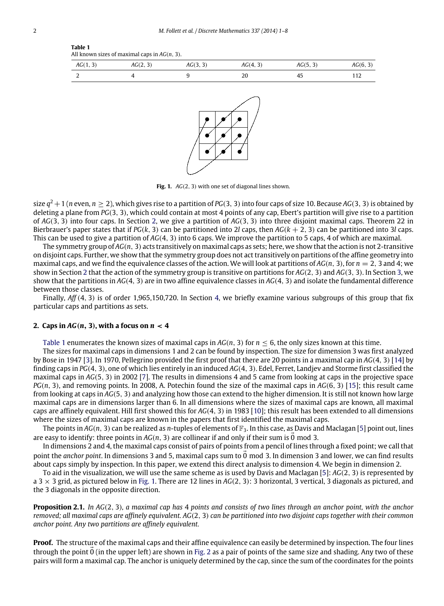<span id="page-1-2"></span>

| All known sizes of maximal caps in $AG(n, 3)$ . |          |          |          |          |          |  |  |
|-------------------------------------------------|----------|----------|----------|----------|----------|--|--|
| AG(1, 3)                                        | AG(2, 3) | AG(3, 3) | AG(4, 3) | AG(5, 3) | AG(6, 3) |  |  |
|                                                 |          |          | 20       | 45       |          |  |  |
|                                                 |          |          |          |          |          |  |  |



**Fig. 1.** *AG*(2, 3) with one set of diagonal lines shown.

size  $q^2+1$  ( $n$  even,  $n\geq 2$ ), which gives rise to a partition of PG(3, 3) into four caps of size 10. Because AG(3, 3) is obtained by deleting a plane from *PG*(3, 3), which could contain at most 4 points of any cap, Ebert's partition will give rise to a partition of *AG*(3, 3) into four caps. In Section [2,](#page-1-0) we give a partition of *AG*(3, 3) into three disjoint maximal caps. Theorem 22 in Bierbrauer's paper states that if  $PG(k, 3)$  can be partitioned into 2*l* caps, then  $AG(k + 2, 3)$  can be partitioned into 3*l* caps. This can be used to give a partition of *AG*(4, 3) into 6 caps. We improve the partition to 5 caps, 4 of which are maximal.

The symmetry group of *AG*(*n*, 3) acts transitively on maximal caps as sets; here, we show that the action is not 2-transitive on disjoint caps. Further, we show that the symmetry group does not act transitively on partitions of the affine geometry into maximal caps, and we find the equivalence classes of the action. We will look at partitions of  $AG(n, 3)$ , for  $n = 2$ , 3 and 4; we show in Section [2](#page-1-0) that the action of the symmetry group is transitive on partitions for *AG*(2, 3) and *AG*(3, 3). In Section [3,](#page-2-0) we show that the partitions in *AG*(4, 3) are in two affine equivalence classes in *AG*(4, 3) and isolate the fundamental difference between those classes.

Finally, *Aff*(4, 3) is of order 1,965,150,720. In Section [4,](#page-6-0) we briefly examine various subgroups of this group that fix particular caps and partitions as sets.

## <span id="page-1-0"></span>**2.** Caps in  $AG(n, 3)$ , with a focus on  $n < 4$

[Table 1](#page-1-1) enumerates the known sizes of maximal caps in  $AG(n, 3)$  for  $n \leq 6$ , the only sizes known at this time.

The sizes for maximal caps in dimensions 1 and 2 can be found by inspection. The size for dimension 3 was first analyzed by Bose in 1947 [\[3\]](#page-7-10). In 1970, Pellegrino provided the first proof that there are 20 points in a maximal cap in *AG*(4, 3) [\[14\]](#page-7-2) by finding caps in *PG*(4, 3), one of which lies entirely in an induced *AG*(4, 3). Edel, Ferret, Landjev and Storme first classified the maximal caps in *AG*(5, 3) in 2002 [\[7\]](#page-7-11). The results in dimensions 4 and 5 came from looking at caps in the projective space *PG*(*n*, 3), and removing points. In 2008, A. Potechin found the size of the maximal caps in *AG*(6, 3) [\[15\]](#page-7-12); this result came from looking at caps in *AG*(5, 3) and analyzing how those can extend to the higher dimension. It is still not known how large maximal caps are in dimensions larger than 6. In all dimensions where the sizes of maximal caps are known, all maximal caps are affinely equivalent. Hill first showed this for *AG*(4, 3) in 1983 [\[10\]](#page-7-3); this result has been extended to all dimensions where the sizes of maximal caps are known in the papers that first identified the maximal caps.

The points in  $AG(n, 3)$  can be realized as *n*-tuples of elements of  $\mathbb{F}_3$ . In this case, as Davis and Maclagan [\[5\]](#page-7-13) point out, lines are easy to identify: three points in  $AG(n, 3)$  are collinear if and only if their sum is  $\vec{0}$  mod 3.

In dimensions 2 and 4, the maximal caps consist of pairs of points from a pencil of lines through a fixed point; we call that point the *anchor point*. In dimensions 3 and 5, maximal caps sum to 0 mod 3. In dimension 3 and lower, we can find results about caps simply by inspection. In this paper, we extend this direct analysis to dimension 4. We begin in dimension 2.

To aid in the visualization, we will use the same scheme as is used by Davis and Maclagan [\[5\]](#page-7-13): *AG*(2, 3) is represented by a 3 × 3 grid, as pictured below in [Fig. 1.](#page-1-2) There are 12 lines in *AG*(2, 3): 3 horizontal, 3 vertical, 3 diagonals as pictured, and the 3 diagonals in the opposite direction.

**Proposition 2.1.** *In AG*(2, 3)*, a maximal cap has* 4 *points and consists of two lines through an anchor point, with the anchor removed; all maximal caps are affinely equivalent. AG*(2, 3) *can be partitioned into two disjoint caps together with their common anchor point. Any two partitions are affinely equivalent.*

**Proof.** The structure of the maximal caps and their affine equivalence can easily be determined by inspection. The four lines through the point  $\vec{0}$  (in the upper left) are shown in [Fig. 2](#page-2-1) as a pair of points of the same size and shading. Any two of these pairs will form a maximal cap. The anchor is uniquely determined by the cap, since the sum of the coordinates for the points

<span id="page-1-1"></span>**Table 1**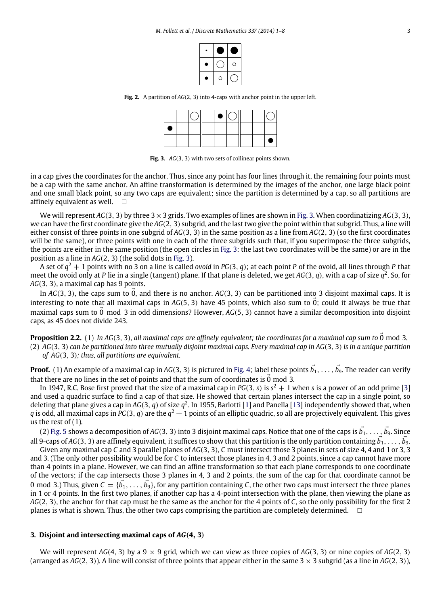| r | O |
|---|---|
|   |   |

<span id="page-2-1"></span>**Fig. 2.** A partition of *AG*(2, 3) into 4-caps with anchor point in the upper left.

|   |  | $\bullet$ |  |  |
|---|--|-----------|--|--|
| ٠ |  |           |  |  |
|   |  |           |  |  |

**Fig. 3.** *AG*(3, 3) with two sets of collinear points shown.

<span id="page-2-2"></span>in a cap gives the coordinates for the anchor. Thus, since any point has four lines through it, the remaining four points must be a cap with the same anchor. An affine transformation is determined by the images of the anchor, one large black point and one small black point, so any two caps are equivalent; since the partition is determined by a cap, so all partitions are affinely equivalent as well.  $\square$ 

We will represent *AG*(3, 3) by three 3×3 grids. Two examples of lines are shown in [Fig. 3.](#page-2-2) When coordinatizing *AG*(3, 3), we can have the first coordinate give the *AG*(2, 3) subgrid, and the last two give the point within that subgrid. Thus, a line will either consist of three points in one subgrid of *AG*(3, 3) in the same position as a line from *AG*(2, 3) (so the first coordinates will be the same), or three points with one in each of the three subgrids such that, if you superimpose the three subgrids, the points are either in the same position (the open circles in [Fig. 3:](#page-2-2) the last two coordinates will be the same) or are in the position as a line in *AG*(2, 3) (the solid dots in [Fig. 3\)](#page-2-2).

A set of *q* <sup>2</sup> + 1 points with no 3 on a line is called *ovoid* in *PG*(3, *q*); at each point *P* of the ovoid, all lines through *P* that meet the ovoid only at *P* lie in a single (tangent) plane. If that plane is deleted, we get *AG*(3, *q*), with a cap of size *q* 2 . So, for *AG*(3, 3), a maximal cap has 9 points.

In  $AG(3, 3)$ , the caps sum to 0, and there is no anchor.  $AG(3, 3)$  can be partitioned into 3 disjoint maximal caps. It is interesting to note that all maximal caps in  $AG(5, 3)$  have 45 points, which also sum to  $\vec{0}$ ; could it always be true that maximal caps sum to  $\overline{0}$  mod 3 in odd dimensions? However,  $AG(5, 3)$  cannot have a similar decomposition into disjoint caps, as 45 does not divide 243.

**Proposition 2.2.** (1) *In AG*(3, 3), *all maximal caps are affinely equivalent; the coordinates for a maximal cap sum to* 0 mod 3. (2) *AG*(3, 3) *can be partitioned into three mutually disjoint maximal caps. Every maximal cap in AG*(3, 3) *is in a unique partition of AG*(3, 3)*; thus, all partitions are equivalent.*

**Proof.** (1) An example of a maximal cap in AG(3, 3) is pictured in [Fig. 4;](#page-3-0) label these points  $\vec{b_1},\ldots,\vec{b_9}.$  The reader can verify that there are no lines in the set of points and that the sum of coordinates is  $\vec{0}$  mod 3.

In 1947, R.C. Bose first proved that the size of a maximal cap in  $PG(3, s)$  is  $s^2 + 1$  when *s* is a power of an odd prime [\[3\]](#page-7-10) and used a quadric surface to find a cap of that size. He showed that certain planes intersect the cap in a single point, so deleting that plane gives a cap in AG(3, q) of size  $q^2$ . In 1955, Barlotti [\[1\]](#page-7-14) and Panella [\[13\]](#page-7-15) independently showed that, when  $q$  is odd, all maximal caps in PG(3,  $q$ ) are the  $q^2+1$  points of an elliptic quadric, so all are projectively equivalent. This gives us the rest of  $(1)$ .

(2) [Fig. 5](#page-3-1) shows a decomposition of AG(3, 3) into 3 disjoint maximal caps. Notice that one of the caps is  $\vec{b_1},\ldots,\vec{b_9}$ . Since all 9-caps of AG(3, 3) are affinely equivalent, it suffices to show that this partition is the only partition containing  $\vec{b_1},\ldots,\vec{b_9}$ .

Given any maximal cap *C* and 3 parallel planes of *AG*(3, 3), *C* must intersect those 3 planes in sets of size 4, 4 and 1 or 3, 3 and 3. (The only other possibility would be for *C* to intersect those planes in 4, 3 and 2 points, since a cap cannot have more than 4 points in a plane. However, we can find an affine transformation so that each plane corresponds to one coordinate of the vectors; if the cap intersects those 3 planes in 4, 3 and 2 points, the sum of the cap for that coordinate cannot be 0 mod 3.) Thus, given  $\vec{C} = \{\vec{b_1},\ldots,\vec{b_9}\}$ , for any partition containing C, the other two caps must intersect the three planes in 1 or 4 points. In the first two planes, if another cap has a 4-point intersection with the plane, then viewing the plane as *AG*(2, 3), the anchor for that cap must be the same as the anchor for the 4 points of *C*, so the only possibility for the first 2 planes is what is shown. Thus, the other two caps comprising the partition are completely determined.  $\Box$ 

#### <span id="page-2-0"></span>**3. Disjoint and intersecting maximal caps of** *AG*(**4**, **3**)

We will represent  $AG(4, 3)$  by a  $9 \times 9$  grid, which we can view as three copies of  $AG(3, 3)$  or nine copies of  $AG(2, 3)$ (arranged as  $AG(2, 3)$ ). A line will consist of three points that appear either in the same  $3 \times 3$  subgrid (as a line in  $AG(2, 3)$ ),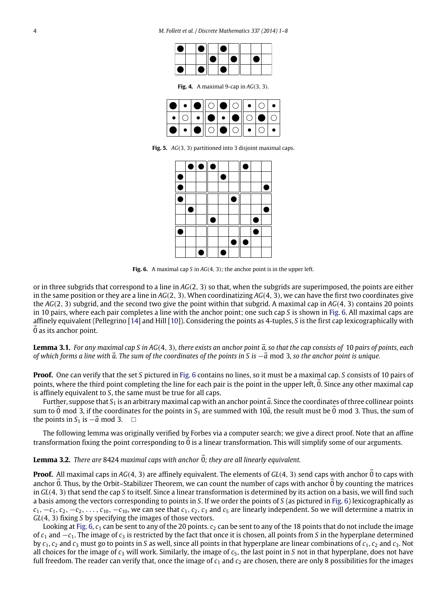<span id="page-3-0"></span>

| ● | $\bullet$ |                | Œ |     |            |  |
|---|-----------|----------------|---|-----|------------|--|
|   |           | $\blacksquare$ |   | I O | $\sqrt{2}$ |  |
| 0 | $\bullet$ |                | ٠ |     |            |  |

**Fig. 4.** A maximal 9-cap in *AG*(3, 3).

|  | O • O O O O O + O •                           |  |  |  |
|--|-----------------------------------------------|--|--|--|
|  | $\cdot$ 0 $\cdot$ 0 $\cdot$ 0 $\cdot$ 0 0 0 0 |  |  |  |
|  | │●│•│●║○│●│○║•│○│•                            |  |  |  |

<span id="page-3-2"></span><span id="page-3-1"></span>**Fig. 5.** *AG*(3, 3) partitioned into 3 disjoint maximal caps.

|   | $\bullet \bullet \bullet$ |   |   | ٠ |  |
|---|---------------------------|---|---|---|--|
| £ |                           | £ |   |   |  |
| C |                           |   |   |   |  |
| İ |                           |   | с |   |  |
|   |                           |   |   |   |  |
|   |                           |   |   |   |  |
| f |                           |   |   |   |  |
|   |                           |   |   |   |  |
|   |                           |   |   |   |  |

**Fig. 6.** A maximal cap *S* in *AG*(4, 3); the anchor point is in the upper left.

or in three subgrids that correspond to a line in *AG*(2, 3) so that, when the subgrids are superimposed, the points are either in the same position or they are a line in *AG*(2, 3). When coordinatizing *AG*(4, 3), we can have the first two coordinates give the *AG*(2, 3) subgrid, and the second two give the point within that subgrid. A maximal cap in *AG*(4, 3) contains 20 points in 10 pairs, where each pair completes a line with the anchor point; one such cap *S* is shown in [Fig. 6.](#page-3-2) All maximal caps are affinely equivalent (Pellegrino [\[14\]](#page-7-2) and Hill [\[10\]](#page-7-3)). Considering the points as 4-tuples, *S* is the first cap lexicographically with  $\overline{0}$  as its anchor point.

**Lemma 3.1.** For any maximal cap S in AG(4, 3), there exists an anchor point  $\vec{a}$ , so that the cap consists of 10 pairs of points, each *of which forms a line with*  $\vec{a}$ . The sum of the coordinates of the points in S is  $-\vec{a}$  mod 3, so the anchor point is unique.

**Proof.** One can verify that the set *S* pictured in [Fig. 6](#page-3-2) contains no lines, so it must be a maximal cap. *S* consists of 10 pairs of points, where the third point completing the line for each pair is the point in the upper left,  $\ddot{0}$ . Since any other maximal cap is affinely equivalent to *S*, the same must be true for all caps.

Further, suppose that  $S_1$  is an arbitrary maximal cap with an anchor point  $\vec{a}$ . Since the coordinates of three collinear points sum to  $\vec{0}$  mod 3, if the coordinates for the points in  $S_1$  are summed with 10 $\vec{a}$ , the result must be  $\vec{0}$  mod 3. Thus, the sum of the points in  $S_1$  is  $-\vec{a}$  mod 3.  $\Box$ 

The following lemma was originally verified by Forbes via a computer search; we give a direct proof. Note that an affine transformation fixing the point corresponding to  $\overline{0}$  is a linear transformation. This will simplify some of our arguments.

# **Lemma 3.2.** *There are 8424 maximal caps with anchor*  $\vec{0}$ *; they are all linearly equivalent.*

**Proof.** All maximal caps in AG(4, 3) are affinely equivalent. The elements of *GL*(4, 3) send caps with anchor 0 to caps with anchor  $\vec{0}$ . Thus, by the Orbit–Stabilizer Theorem, we can count the number of caps with anchor  $\vec{0}$  by counting the matrices in *GL*(4, 3) that send the cap *S* to itself. Since a linear transformation is determined by its action on a basis, we will find such a basis among the vectors corresponding to points in *S*. If we order the points of *S* (as pictured in [Fig. 6\)](#page-3-2) lexicographically as  $c_1, -c_1, c_2, -c_2, \ldots, c_{10}, -c_{10}$ , we can see that  $c_1, c_2, c_3$  and  $c_5$  are linearly independent. So we will determine a matrix in *GL*(4, 3) fixing *S* by specifying the images of those vectors.

Looking at [Fig. 6,](#page-3-2)  $c_1$  can be sent to any of the 20 points.  $c_2$  can be sent to any of the 18 points that do not include the image of *c*<sup>1</sup> and −*c*1. The image of *c*<sup>3</sup> is restricted by the fact that once it is chosen, all points from *S* in the hyperplane determined by *c*1, *c*<sup>2</sup> and *c*<sup>3</sup> must go to points in *S* as well, since all points in that hyperplane are linear combinations of *c*1, *c*<sup>2</sup> and *c*3. Not all choices for the image of *c*<sup>3</sup> will work. Similarly, the image of *c*5, the last point in *S* not in that hyperplane, does not have full freedom. The reader can verify that, once the image of  $c_1$  and  $c_2$  are chosen, there are only 8 possibilities for the images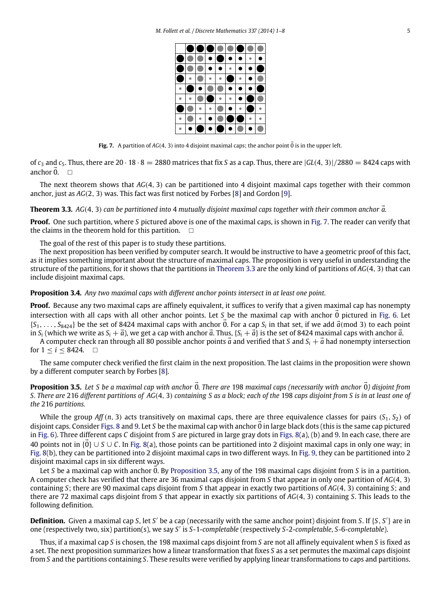<span id="page-4-0"></span>

**Fig. 7.** A partition of  $AG(4, 3)$  into 4 disjoint maximal caps; the anchor point  $\vec{0}$  is in the upper left.

of  $c_3$  and  $c_5$ . Thus, there are  $20 \cdot 18 \cdot 8 = 2880$  matrices that fix *S* as a cap. Thus, there are  $|GL(4, 3)|/2880 = 8424$  caps with anchor  $\vec{0}$ .  $\Box$ 

The next theorem shows that *AG*(4, 3) can be partitioned into 4 disjoint maximal caps together with their common anchor, just as *AG*(2, 3) was. This fact was first noticed by Forbes [\[8\]](#page-7-4) and Gordon [\[9\]](#page-7-5).

<span id="page-4-1"></span>**Theorem 3.3.** *AG*(4, 3) *can be partitioned into* 4 *mutually disjoint maximal caps together with their common anchor*  $\vec{a}$ .

**Proof.** One such partition, where *S* pictured above is one of the maximal caps, is shown in [Fig. 7.](#page-4-0) The reader can verify that the claims in the theorem hold for this partition.  $\square$ 

The goal of the rest of this paper is to study these partitions.

The next proposition has been verified by computer search. It would be instructive to have a geometric proof of this fact, as it implies something important about the structure of maximal caps. The proposition is very useful in understanding the structure of the partitions, for it shows that the partitions in [Theorem 3.3](#page-4-1) are the only kind of partitions of *AG*(4, 3) that can include disjoint maximal caps.

**Proposition 3.4.** *Any two maximal caps with different anchor points intersect in at least one point.*

**Proof.** Because any two maximal caps are affinely equivalent, it suffices to verify that a given maximal cap has nonempty intersection with all caps with all other anchor points. Let *S* be the maximal cap with anchor  $\vec{0}$  pictured in [Fig. 6.](#page-3-2) Let  ${S_1, \ldots, S_{8424}}$  be the set of 8424 maximal caps with anchor  $\vec{0}$ . For a cap  $S_i$  in that set, if we add  $\vec{a}$ (mod 3) to each point in  $S_i$  (which we write as  $S_i + \vec{a}$ ), we get a cap with anchor  $\vec{a}$ . Thus,  $\{S_i + \vec{a}\}$  is the set of 8424 maximal caps with anchor  $\vec{a}$ .

A computer check ran through all 80 possible anchor points  $\vec{a}$  and verified that *S* and  $S_i + \vec{a}$  had nonempty intersection for  $1 \leq i \leq 8424$ .  $\Box$ 

The same computer check verified the first claim in the next proposition. The last claims in the proposition were shown by a different computer search by Forbes [\[8\]](#page-7-4).

<span id="page-4-2"></span>**Proposition 3.5.** Let S be a maximal cap with anchor  $\vec{0}$ . There are 198 maximal caps (necessarily with anchor  $\vec{0}$ ) disjoint from *S. There are* 216 *different partitions of AG*(4, 3) *containing S as a block; each of the* 198 *caps disjoint from S is in at least one of the* 216 *partitions.*

While the group *Aff*(*n*, 3) acts transitively on maximal caps, there are three equivalence classes for pairs ( $S_1$ ,  $S_2$ ) of disjoint caps. Consider [Figs. 8](#page-5-0) and [9.](#page-5-1) Let *<sup>S</sup>* be the maximal cap with anchor 0 in large black dots (this is the same cap pictured ⃗ in [Fig. 6\)](#page-3-2). Three different caps *C* disjoint from *S* are pictured in large gray dots in [Figs. 8\(](#page-5-0)a), (b) and [9.](#page-5-1) In each case, there are 40 points not in {0⃗} ∪ *<sup>S</sup>* ∪ *<sup>C</sup>*. In [Fig. 8\(](#page-5-0)a), those points can be partitioned into 2 disjoint maximal caps in only one way; in [Fig. 8\(](#page-5-0)b), they can be partitioned into 2 disjoint maximal caps in two different ways. In [Fig. 9,](#page-5-1) they can be partitioned into 2 disjoint maximal caps in six different ways.

Let *S* be a maximal cap with anchor 0. By [Proposition 3.5,](#page-4-2) any of the 198 maximal caps disjoint from *S* is in a partition. A computer check has verified that there are 36 maximal caps disjoint from *S* that appear in only one partition of *AG*(4, 3) containing *S*; there are 90 maximal caps disjoint from *S* that appear in exactly two partitions of *AG*(4, 3) containing *S*; and there are 72 maximal caps disjoint from *S* that appear in exactly six partitions of *AG*(4, 3) containing *S*. This leads to the following definition.

**Definition.** Given a maximal cap *S*, let *S'* be a cap (necessarily with the same anchor point) disjoint from *S*. If {*S*, *S'*} are in one (respectively two, six) partition(s), we say *S* ′ is *S*-1-*completable* (respectively *S*-2-*completable*, *S*-6-*completable*).

Thus, if a maximal cap *S* is chosen, the 198 maximal caps disjoint from *S* are not all affinely equivalent when *S* is fixed as a set. The next proposition summarizes how a linear transformation that fixes *S* as a set permutes the maximal caps disjoint from *S* and the partitions containing *S*. These results were verified by applying linear transformations to caps and partitions.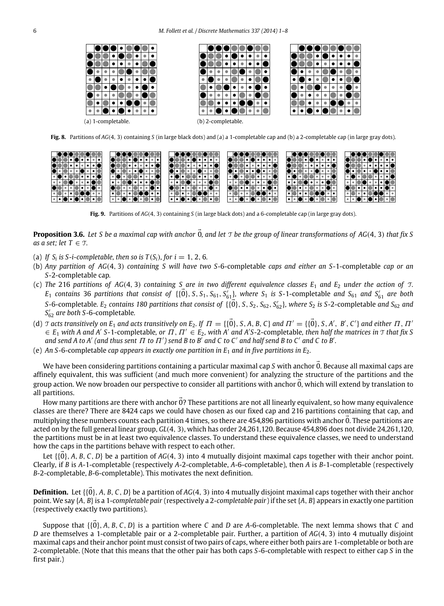<span id="page-5-0"></span>

**Fig. 8.** Partitions of *AG*(4, 3) containing *S* (in large black dots) and (a) a 1-completable cap and (b) a 2-completable cap (in large gray dots).

<span id="page-5-1"></span>

<span id="page-5-2"></span>**Fig. 9.** Partitions of *AG*(4, 3) containing *S* (in large black dots) and a 6-completable cap (in large gray dots).

**Proposition 3.6.** *Let S be a maximal cap with anchor* <sup>0</sup>⃗*, and let* <sup>T</sup> *be the group of linear transformations of AG*(4, <sup>3</sup>) *that fix S as a set; let*  $T \in \mathcal{T}$ *.* 

- (a) If  $S_i$  is S-*i*-completable, then so is  $T(S_i)$ , for  $i = 1, 2, 6$ *.*
- (b) *Any partition of AG*(4, 3) *containing S will have two S-*6-completable *caps and either an S-*1-completable *cap or an S-*2-completable cap*.*
- (c) The 216 partitions of AG(4, 3) containing S are in two different equivalence classes  $E_1$  and  $E_2$  under the action of  $T$ .  $E_1$  *contains* 36 *partitions that consist of*  $\{ {\vec{0}}, S, S_1, S_{61}, S'_{61} \}$ *, where*  $S_1$  *is S-1-completable and*  $S_{61}$  *and*  $S'_{61}$  *are both S*-6-completable*.* E<sub>2</sub> contains 180 partitions that consist of  $\{ \vec{0} \}$ , *S*, *S*<sub>2</sub>, *S*<sub>62</sub>, *S*<sub>62</sub>}, where *S*<sub>2</sub> is *S*-2-completable *and S*<sub>62</sub> *and S* ′ <sup>62</sup> *are both S-*6-completable*.*
- (d)  $\tau$  acts transitively on  $E_1$  and acts transitively on  $E_2$ . If  $\Pi = \{\{\vec{0}\}, S, A, B, C\}$  and  $\Pi' = \{\vec{0}\}, S, A', B', C'\}$  and either  $\Pi, \Pi'$  $\in$  *E*<sub>1</sub> with A and A' S-1-completable, or  $\Pi$ ,  $\Pi' \in E_2$ , with A' and A'S-2-completable, then half the matrices in  $\Im$  that fix S *and send A to A' (and thus sent*  $\Pi$  *to*  $\Pi'$ *) send B to B<sup>'</sup> and C to C' and half send B to C' and C to B'.*
- (e) An S-6-completable *cap appears in exactly one partition in*  $E_1$  *and in five partitions in*  $E_2$ *.*

We have been considering partitions containing a particular maximal cap *S* with anchor 0. Because all maximal caps are affinely equivalent, this was sufficient (and much more convenient) for analyzing the structure of the partitions and the group action. We now broaden our perspective to consider all partitions with anchor  $\vec{0}$ , which will extend by translation to all partitions.

How many partitions are there with anchor  $\vec{0}$ ? These partitions are not all linearly equivalent, so how many equivalence classes are there? There are 8424 caps we could have chosen as our fixed cap and 216 partitions containing that cap, and multiplying these numbers counts each partition 4 times, so there are 454,896 partitions with anchor 0. These partitions are acted on by the full general linear group, *GL*(4, 3), which has order 24,261,120. Because 454,896 does not divide 24,261,120, the partitions must be in at least two equivalence classes. To understand these equivalence classes, we need to understand how the caps in the partitions behave with respect to each other.

Let  $\{ \{0\}, A, B, C, D \}$  be a partition of  $AG(4, 3)$  into 4 mutually disjoint maximal caps together with their anchor point. Clearly, if *B* is *A*-1-completable (respectively *A*-2-completable, *A*-6-completable), then *A* is *B*-1-completable (respectively *B*-2-completable, *B*-6-completable). This motivates the next definition.

**Definition.** Let  $\{0\}$ , *A*, *B*, *C*, *D*} be a partition of *AG*(4, 3) into 4 mutually disjoint maximal caps together with their anchor point. We say {*A*, *B*}is a 1-*completable pair* (respectively a 2-*completable pair*) if the set {*A*, *B*} appears in exactly one partition (respectively exactly two partitions).

Suppose that  $\{\{0\}, A, B, C, D\}$  is a partition where *C* and *D* are *A*-6-completable. The next lemma shows that *C* and *D* are themselves a 1-completable pair or a 2-completable pair. Further, a partition of *AG*(4, 3) into 4 mutually disjoint maximal caps and their anchor point must consist of two pairs of caps, where either both pairs are 1-completable or both are 2-completable. (Note that this means that the other pair has both caps *S*-6-completable with respect to either cap *S* in the first pair.)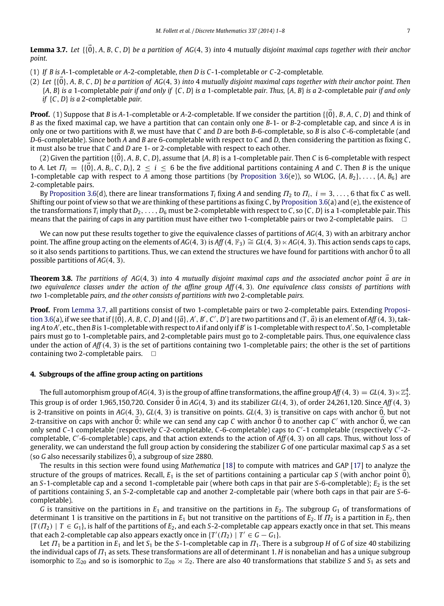<span id="page-6-1"></span>**Lemma 3.7.** Let  $\{\{\vec{0}\}, A, B, C, D\}$  be a partition of AG(4, 3) into 4 mutually disjoint maximal caps together with their anchor *point.*

- (1) *If B is A-*1-completable *or A-*2-completable*, then D is C -*1-completable *or C -*2-completable*.*
- (2) *Let* {{0⃗}, *<sup>A</sup>*, *<sup>B</sup>*, *<sup>C</sup>*, *<sup>D</sup>*} *be a partition of AG*(4, <sup>3</sup>) *into* <sup>4</sup> *mutually disjoint maximal caps together with their anchor point. Then* {*A*, *B*} *is a* 1-completable *pair if and only if* {*C*, *D*} *is a* 1-completable *pair. Thus,* {*A*, *B*} *is a* 2-completable *pair if and only if* {*C*, *D*} *is a* 2-completable *pair.*

**Proof.** (1) Suppose that *<sup>B</sup>* is *<sup>A</sup>*-1-completable or *<sup>A</sup>*-2-completable. If we consider the partition {{0⃗}, *<sup>B</sup>*, *<sup>A</sup>*, *<sup>C</sup>*, *<sup>D</sup>*} and think of *B* as the fixed maximal cap, we have a partition that can contain only one *B*-1- or *B*-2-completable cap, and since *A* is in only one or two partitions with *B*, we must have that *C* and *D* are both *B*-6-completable, so *B* is also *C*-6-completable (and *D*-6-completable). Since both *A* and *B* are 6-completable with respect to *C* and *D*, then considering the partition as fixing *C*, it must also be true that *C* and *D* are 1- or 2-completable with respect to each other.

(2) Given the partition  $\{0\}$ , *A*, *B*, *C*, *D*}, assume that  $\{A, B\}$  is a 1-completable pair. Then *C* is 6-completable with respect to *A*. Let  $\Pi_i = \{\{\vec{0}\}, A, B_i, C, D_i\}, 2 \leq i \leq 6$  be the five additional partitions containing *A* and *C*. Then *B* is the unique 1-completable cap with respect to *A* among those partitions (by [Proposition 3.6\(](#page-5-2)e)), so WLOG,  $\{A, B_2\}, \ldots, \{A, B_6\}$  are 2-completable pairs.

By [Proposition 3.6\(](#page-5-2)d), there are linear transformations  $T_i$  fixing A and sending  $T_2$  to  $T_i$ ,  $i=3,\ldots,6$  that fix C as well. Shifting our point of view so that we are thinking of these partitions as fixing *C*, by [Proposition 3.6\(](#page-5-2)a) and (e), the existence of the transformations  $T_i$  imply that  $D_2, \ldots, D_6$  must be 2-completable with respect to C, so {C, D} is a 1-completable pair. This means that the pairing of caps in any partition must have either two 1-completable pairs or two 2-completable pairs.

We can now put these results together to give the equivalence classes of partitions of *AG*(4, 3) with an arbitrary anchor point. The affine group acting on the elements of *AG*(4, 3) is *Aff*(4,  $\mathbb{F}_3$ )  $\cong$  *GL*(4, 3)  $\times$  *AG*(4, 3). This action sends caps to caps, so it also sends partitions to partitions. Thus, we can extend the structures we have found for partitions with anchor 0 to all possible partitions of *AG*(4, 3).

**Theorem 3.8.** The partitions of AG(4, 3) into 4 mutually disjoint maximal caps and the associated anchor point  $\vec{a}$  are in *two equivalence classes under the action of the affine group Aff*(4, 3)*. One equivalence class consists of partitions with two* 1-completable *pairs, and the other consists of partitions with two* 2-completable *pairs.*

**[P](#page-5-2)roof.** From [Lemma 3.7,](#page-6-1) all partitions consist of two 1-completable pairs or two 2-completable pairs. Extending [Proposi](#page-5-2)[tion 3.6\(](#page-5-2)a), if we see that if  $\{\{\vec{0}\},A,B,C,D\}$  and  $\{\{\vec{a}\},A',B',C',D'\}$  are two partitions and  $(\vec{T},\vec{a})$  is an element of Aff  $(4,3)$ , taking *A* to *A* ′ , etc., then *B* is 1-completable with respect to *A* if and only if *B* ′ is 1-completable with respect to *A* ′ . So, 1-completable pairs must go to 1-completable pairs, and 2-completable pairs must go to 2-completable pairs. Thus, one equivalence class under the action of *Aff*(4, 3) is the set of partitions containing two 1-completable pairs; the other is the set of partitions containing two 2-completable pairs.  $\square$ 

### <span id="page-6-0"></span>**4. Subgroups of the affine group acting on partitions**

The full automorphism group of AG(4, 3) is the group of affine transformations, the affine group Aff  $(4,3)=$  GL(4, 3)  $\ltimes\mathbb{Z}_3^4$ . This group is of order 1,965,150,720. Consider  $\vec{0}$  in  $AG(4, 3)$  and its stabilizer  $GL(4, 3)$ , of order 24,261,120. Since  $Aff(4, 3)$ is 2-transitive on points in  $AG(4, 3)$ ,  $GL(4, 3)$  is transitive on points.  $GL(4, 3)$  is transitive on caps with anchor 0, but not 2-transitive on caps with anchor  $\vec{0}$ : while we can send any cap C with anchor  $\vec{0}$  to another cap C' with anchor  $\vec{0}$ , we can only send *C*-1 completable (respectively *C*-2-completable, *C*-6-completable) caps to *C* ′ -1 completable (respectively *C* ′ -2 completable, *C* ′ -6-completable) caps, and that action extends to the action of *Aff*(4, 3) on all caps. Thus, without loss of generality, we can understand the full group action by considering the stabilizer *G* of one particular maximal cap *S* as a set (so *G* also necessarily stabilizes  $\vec{0}$ ), a subgroup of size 2880.

The results in this section were found using *Mathematica* [\[18\]](#page-7-16) to compute with matrices and GAP [\[17\]](#page-7-17) to analyze the structure of the groups of matrices. Recall,  $E_1$  is the set of partitions containing a particular cap *S* (with anchor point 0), an *S*-1-completable cap and a second 1-completable pair (where both caps in that pair are *S*-6-completable);  $E_2$  is the set of partitions containing *S*, an *S*-2-completable cap and another 2-completable pair (where both caps in that pair are *S*-6 completable).

*G* is transitive on the partitions in  $E_1$  and transitive on the partitions in  $E_2$ . The subgroup  $G_1$  of transformations of determinant 1 is transitive on the partitions in  $E_1$  but not transitive on the partitions of  $E_2$ . If  $\Pi_2$  is a partition in  $E_2$ , then  $\{T(T_2) | T \in G_1\}$ , is half of the partitions of  $E_2$ , and each *S*-2-completable cap appears exactly once in that set. This means that each 2-completable cap also appears exactly once in  $\{T'(T_2) \mid T' \in G - G_1\}$ .

Let  $\Pi_1$  be a partition in  $E_1$  and let  $S_1$  be the S-1-completable cap in  $\Pi_1$ . There is a subgroup *H* of *G* of size 40 stabilizing the individual caps of  $\Pi_1$  as sets. These transformations are all of determinant 1. *H* is nonabelian and has a unique subgroup isomorphic to  $\mathbb{Z}_{20}$  and so is isomorphic to  $\mathbb{Z}_{20} \rtimes \mathbb{Z}_2$ . There are also 40 transformations that stabilize *S* and *S*<sub>1</sub> as sets and